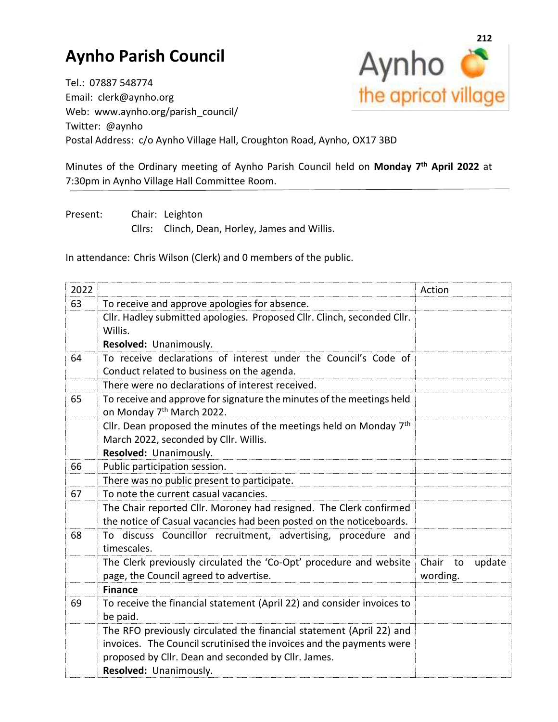## **Aynho Parish Council**



Tel.: 07887 548774 Email: clerk@aynho.org Web: www.aynho.org/parish\_council/ Twitter: @aynho Postal Address: c/o Aynho Village Hall, Croughton Road, Aynho, OX17 3BD

Minutes of the Ordinary meeting of Aynho Parish Council held on **Monday 7 th April 2022** at 7:30pm in Aynho Village Hall Committee Room.

Present: Chair: Leighton Cllrs: Clinch, Dean, Horley, James and Willis.

In attendance: Chris Wilson (Clerk) and 0 members of the public.

| 2022 |                                                                                                                | Action      |        |
|------|----------------------------------------------------------------------------------------------------------------|-------------|--------|
| 63   | To receive and approve apologies for absence.                                                                  |             |        |
|      | Cllr. Hadley submitted apologies. Proposed Cllr. Clinch, seconded Cllr.                                        |             |        |
|      | Willis.                                                                                                        |             |        |
|      | Resolved: Unanimously.                                                                                         |             |        |
| 64   | To receive declarations of interest under the Council's Code of                                                |             |        |
|      | Conduct related to business on the agenda.                                                                     |             |        |
|      | There were no declarations of interest received.                                                               |             |        |
| 65   | To receive and approve for signature the minutes of the meetings held<br>on Monday 7 <sup>th</sup> March 2022. |             |        |
|      | Cllr. Dean proposed the minutes of the meetings held on Monday 7 <sup>th</sup>                                 |             |        |
|      | March 2022, seconded by Cllr. Willis.                                                                          |             |        |
|      | Resolved: Unanimously.                                                                                         |             |        |
| 66   | Public participation session.                                                                                  |             |        |
|      | There was no public present to participate.                                                                    |             |        |
| 67   | To note the current casual vacancies.                                                                          |             |        |
|      | The Chair reported Cllr. Moroney had resigned. The Clerk confirmed                                             |             |        |
|      | the notice of Casual vacancies had been posted on the noticeboards.                                            |             |        |
| 68   | To discuss Councillor recruitment, advertising, procedure and                                                  |             |        |
|      | timescales.                                                                                                    |             |        |
|      | The Clerk previously circulated the 'Co-Opt' procedure and website                                             | Chair<br>to | update |
|      | page, the Council agreed to advertise.                                                                         | wording.    |        |
|      | <b>Finance</b>                                                                                                 |             |        |
| 69   | To receive the financial statement (April 22) and consider invoices to                                         |             |        |
|      | be paid.                                                                                                       |             |        |
|      | The RFO previously circulated the financial statement (April 22) and                                           |             |        |
|      | invoices. The Council scrutinised the invoices and the payments were                                           |             |        |
|      | proposed by Cllr. Dean and seconded by Cllr. James.                                                            |             |        |
|      | Resolved: Unanimously.                                                                                         |             |        |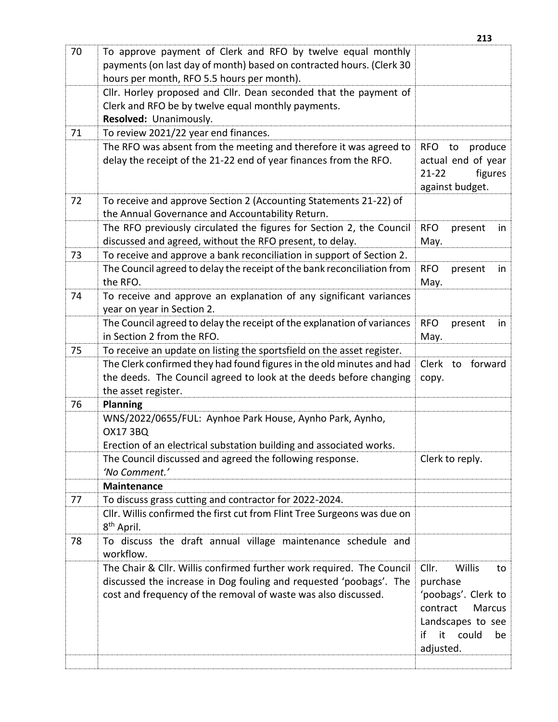|    |                                                                                                                                                                                                               | 213                                                                                                                                      |
|----|---------------------------------------------------------------------------------------------------------------------------------------------------------------------------------------------------------------|------------------------------------------------------------------------------------------------------------------------------------------|
| 70 | To approve payment of Clerk and RFO by twelve equal monthly<br>payments (on last day of month) based on contracted hours. (Clerk 30<br>hours per month, RFO 5.5 hours per month).                             |                                                                                                                                          |
|    | Cllr. Horley proposed and Cllr. Dean seconded that the payment of<br>Clerk and RFO be by twelve equal monthly payments.<br>Resolved: Unanimously.                                                             |                                                                                                                                          |
| 71 | To review 2021/22 year end finances.                                                                                                                                                                          |                                                                                                                                          |
|    | The RFO was absent from the meeting and therefore it was agreed to<br>delay the receipt of the 21-22 end of year finances from the RFO.                                                                       | produce<br><b>RFO</b><br>to<br>actual end of year<br>figures<br>$21 - 22$<br>against budget.                                             |
| 72 | To receive and approve Section 2 (Accounting Statements 21-22) of<br>the Annual Governance and Accountability Return.                                                                                         |                                                                                                                                          |
|    | The RFO previously circulated the figures for Section 2, the Council<br>discussed and agreed, without the RFO present, to delay.                                                                              | <b>RFO</b><br>present<br>in<br>May.                                                                                                      |
| 73 | To receive and approve a bank reconciliation in support of Section 2.                                                                                                                                         |                                                                                                                                          |
|    | The Council agreed to delay the receipt of the bank reconciliation from<br>the RFO.                                                                                                                           | <b>RFO</b><br>present<br>in<br>May.                                                                                                      |
| 74 | To receive and approve an explanation of any significant variances<br>year on year in Section 2.                                                                                                              |                                                                                                                                          |
|    | The Council agreed to delay the receipt of the explanation of variances<br>in Section 2 from the RFO.                                                                                                         | <b>RFO</b><br>present<br>in<br>May.                                                                                                      |
| 75 | To receive an update on listing the sportsfield on the asset register.                                                                                                                                        |                                                                                                                                          |
|    | The Clerk confirmed they had found figures in the old minutes and had<br>the deeds. The Council agreed to look at the deeds before changing<br>the asset register.                                            | Clerk to forward<br>copy.                                                                                                                |
| 76 | <b>Planning</b>                                                                                                                                                                                               |                                                                                                                                          |
|    | WNS/2022/0655/FUL: Aynhoe Park House, Aynho Park, Aynho,<br><b>OX17 3BQ</b><br>Erection of an electrical substation building and associated works.                                                            |                                                                                                                                          |
|    | The Council discussed and agreed the following response.<br>'No Comment.'                                                                                                                                     | Clerk to reply.                                                                                                                          |
|    | <b>Maintenance</b>                                                                                                                                                                                            |                                                                                                                                          |
| 77 | To discuss grass cutting and contractor for 2022-2024.                                                                                                                                                        |                                                                                                                                          |
|    | Cllr. Willis confirmed the first cut from Flint Tree Surgeons was due on<br>8 <sup>th</sup> April.                                                                                                            |                                                                                                                                          |
| 78 | To discuss the draft annual village maintenance schedule and<br>workflow.                                                                                                                                     |                                                                                                                                          |
|    | The Chair & Cllr. Willis confirmed further work required. The Council<br>discussed the increase in Dog fouling and requested 'poobags'. The<br>cost and frequency of the removal of waste was also discussed. | Willis<br>Cllr.<br>to<br>purchase<br>'poobags'. Clerk to<br>contract<br>Marcus<br>Landscapes to see<br>it could<br>if<br>be<br>adjusted. |
|    |                                                                                                                                                                                                               |                                                                                                                                          |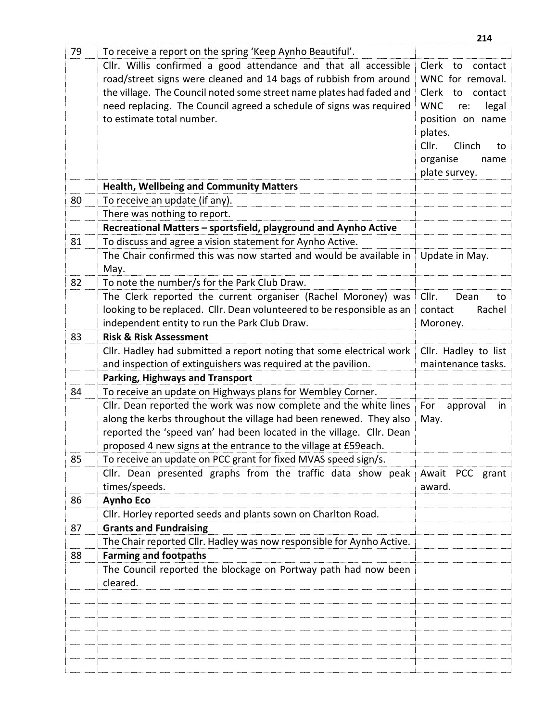|    |                                                                                                                                         | 214                        |
|----|-----------------------------------------------------------------------------------------------------------------------------------------|----------------------------|
| 79 | To receive a report on the spring 'Keep Aynho Beautiful'.                                                                               |                            |
|    | Cllr. Willis confirmed a good attendance and that all accessible                                                                        | Clerk<br>to<br>contact     |
|    | road/street signs were cleaned and 14 bags of rubbish from around                                                                       | WNC for removal.           |
|    | the village. The Council noted some street name plates had faded and                                                                    | Clerk<br>to<br>contact     |
|    | need replacing. The Council agreed a schedule of signs was required                                                                     | <b>WNC</b><br>legal<br>re: |
|    | to estimate total number.                                                                                                               | position on name           |
|    |                                                                                                                                         | plates.                    |
|    |                                                                                                                                         | Cllr.<br>Clinch<br>to      |
|    |                                                                                                                                         | organise<br>name           |
|    |                                                                                                                                         | plate survey.              |
|    | <b>Health, Wellbeing and Community Matters</b>                                                                                          |                            |
| 80 | To receive an update (if any).                                                                                                          |                            |
|    | There was nothing to report.                                                                                                            |                            |
|    | Recreational Matters - sportsfield, playground and Aynho Active                                                                         |                            |
| 81 | To discuss and agree a vision statement for Aynho Active.                                                                               |                            |
|    | The Chair confirmed this was now started and would be available in                                                                      | Update in May.             |
|    | May.                                                                                                                                    |                            |
| 82 | To note the number/s for the Park Club Draw.                                                                                            |                            |
|    | The Clerk reported the current organiser (Rachel Moroney) was                                                                           | Cllr.<br>Dean<br>to        |
|    | looking to be replaced. Cllr. Dean volunteered to be responsible as an                                                                  | contact<br>Rachel          |
|    | independent entity to run the Park Club Draw.                                                                                           | Moroney.                   |
| 83 | <b>Risk &amp; Risk Assessment</b>                                                                                                       |                            |
|    | Cllr. Hadley had submitted a report noting that some electrical work                                                                    | Cllr. Hadley to list       |
|    | and inspection of extinguishers was required at the pavilion.                                                                           | maintenance tasks.         |
|    | <b>Parking, Highways and Transport</b>                                                                                                  |                            |
| 84 | To receive an update on Highways plans for Wembley Corner.                                                                              |                            |
|    | Cllr. Dean reported the work was now complete and the white lines<br>along the kerbs throughout the village had been renewed. They also | For<br>in<br>approval      |
|    | reported the 'speed van' had been located in the village. Cllr. Dean                                                                    | May.                       |
|    | proposed 4 new signs at the entrance to the village at £59each.                                                                         |                            |
| 85 | To receive an update on PCC grant for fixed MVAS speed sign/s.                                                                          |                            |
|    | Cllr. Dean presented graphs from the traffic data show peak                                                                             | Await PCC grant            |
|    | times/speeds.                                                                                                                           | award.                     |
| 86 | <b>Aynho Eco</b>                                                                                                                        |                            |
|    | Cllr. Horley reported seeds and plants sown on Charlton Road.                                                                           |                            |
| 87 | <b>Grants and Fundraising</b>                                                                                                           |                            |
|    | The Chair reported Cllr. Hadley was now responsible for Aynho Active.                                                                   |                            |
| 88 | <b>Farming and footpaths</b>                                                                                                            |                            |
|    | The Council reported the blockage on Portway path had now been                                                                          |                            |
|    | cleared.                                                                                                                                |                            |
|    |                                                                                                                                         |                            |
|    |                                                                                                                                         |                            |
|    |                                                                                                                                         |                            |
|    |                                                                                                                                         |                            |
|    |                                                                                                                                         |                            |
|    |                                                                                                                                         |                            |